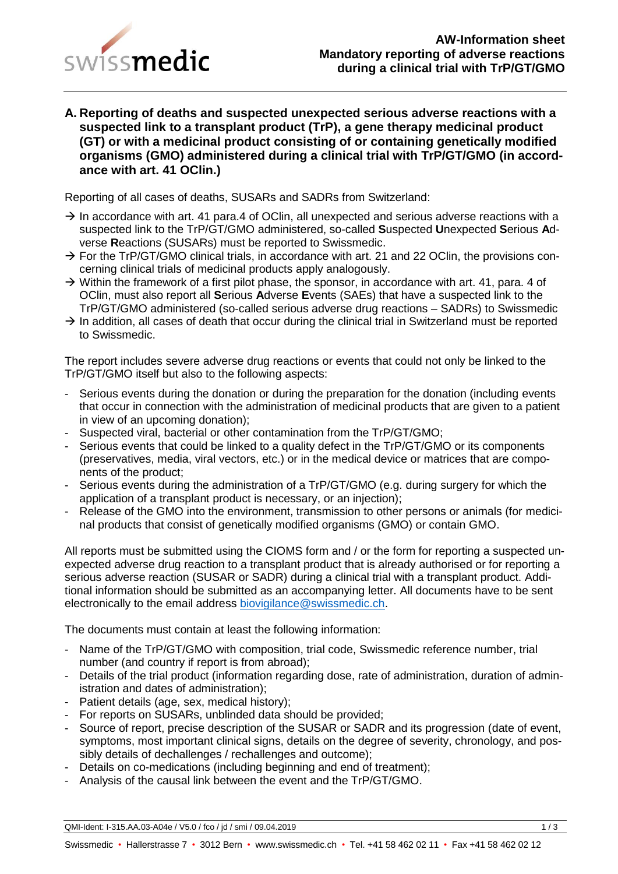

**A. Reporting of deaths and suspected unexpected serious adverse reactions with a suspected link to a transplant product (TrP), a gene therapy medicinal product (GT) or with a medicinal product consisting of or containing genetically modified organisms (GMO) administered during a clinical trial with TrP/GT/GMO (in accordance with art. 41 OClin.)**

Reporting of all cases of deaths, SUSARs and SADRs from Switzerland:

- $\rightarrow$  In accordance with art. 41 para.4 of OClin, all unexpected and serious adverse reactions with a suspected link to the TrP/GT/GMO administered, so-called **S**uspected **U**nexpected **S**erious **A**dverse **R**eactions (SUSARs) must be reported to Swissmedic.
- $\rightarrow$  For the TrP/GT/GMO clinical trials, in accordance with art. 21 and 22 OClin, the provisions concerning clinical trials of medicinal products apply analogously.
- $\rightarrow$  Within the framework of a first pilot phase, the sponsor, in accordance with art. 41, para. 4 of OClin, must also report all **S**erious **A**dverse **E**vents (SAEs) that have a suspected link to the TrP/GT/GMO administered (so-called serious adverse drug reactions – SADRs) to Swissmedic
- $\rightarrow$  In addition, all cases of death that occur during the clinical trial in Switzerland must be reported to Swissmedic.

The report includes severe adverse drug reactions or events that could not only be linked to the TrP/GT/GMO itself but also to the following aspects:

- Serious events during the donation or during the preparation for the donation (including events that occur in connection with the administration of medicinal products that are given to a patient in view of an upcoming donation);
- Suspected viral, bacterial or other contamination from the TrP/GT/GMO;
- Serious events that could be linked to a quality defect in the TrP/GT/GMO or its components (preservatives, media, viral vectors, etc.) or in the medical device or matrices that are components of the product;
- Serious events during the administration of a TrP/GT/GMO (e.g. during surgery for which the application of a transplant product is necessary, or an injection);
- Release of the GMO into the environment, transmission to other persons or animals (for medicinal products that consist of genetically modified organisms (GMO) or contain GMO.

All reports must be submitted using the CIOMS form and / or the form for reporting a suspected unexpected adverse drug reaction to a transplant product that is already authorised or for reporting a serious adverse reaction (SUSAR or SADR) during a clinical trial with a transplant product. Additional information should be submitted as an accompanying letter. All documents have to be sent electronically to the email address [biovigilance@swissmedic.ch.](mailto:biovigilance@swissmedic.ch)

The documents must contain at least the following information:

- Name of the TrP/GT/GMO with composition, trial code, Swissmedic reference number, trial number (and country if report is from abroad);
- Details of the trial product (information regarding dose, rate of administration, duration of administration and dates of administration);
- Patient details (age, sex, medical history);
- For reports on SUSARs, unblinded data should be provided;
- Source of report, precise description of the SUSAR or SADR and its progression (date of event, symptoms, most important clinical signs, details on the degree of severity, chronology, and possibly details of dechallenges / rechallenges and outcome);
- Details on co-medications (including beginning and end of treatment);
- Analysis of the causal link between the event and the TrP/GT/GMO.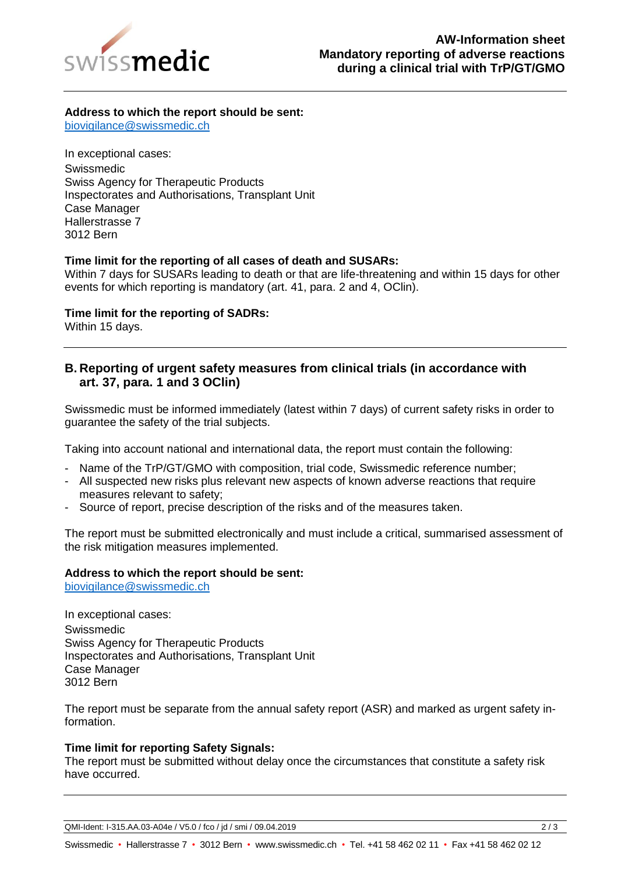

## **Address to which the report should be sent:**

[biovigilance@swissmedic.ch](mailto:biovigilance@swissmedic.ch)

In exceptional cases: Swissmedic Swiss Agency for Therapeutic Products Inspectorates and Authorisations, Transplant Unit Case Manager Hallerstrasse 7 3012 Bern

## **Time limit for the reporting of all cases of death and SUSARs:**

Within 7 days for SUSARs leading to death or that are life-threatening and within 15 days for other events for which reporting is mandatory (art. 41, para. 2 and 4, OClin).

**Time limit for the reporting of SADRs:**

Within 15 days.

## **B. Reporting of urgent safety measures from clinical trials (in accordance with art. 37, para. 1 and 3 OClin)**

Swissmedic must be informed immediately (latest within 7 days) of current safety risks in order to guarantee the safety of the trial subjects.

Taking into account national and international data, the report must contain the following:

- Name of the TrP/GT/GMO with composition, trial code, Swissmedic reference number;
- All suspected new risks plus relevant new aspects of known adverse reactions that require measures relevant to safety;
- Source of report, precise description of the risks and of the measures taken.

The report must be submitted electronically and must include a critical, summarised assessment of the risk mitigation measures implemented.

## **Address to which the report should be sent:**

[biovigilance@swissmedic.ch](mailto:biovigilance@swissmedic.ch)

In exceptional cases: Swissmedic Swiss Agency for Therapeutic Products Inspectorates and Authorisations, Transplant Unit Case Manager 3012 Bern

The report must be separate from the annual safety report (ASR) and marked as urgent safety information.

### **Time limit for reporting Safety Signals:**

The report must be submitted without delay once the circumstances that constitute a safety risk have occurred.

QMI-Ident: I-315.AA.03-A04e / V5.0 / fco / jd / smi / 09.04.2019 2 / 3

Swissmedic • Hallerstrasse 7 • 3012 Bern • www.swissmedic.ch • Tel. +41 58 462 02 11 • Fax +41 58 462 02 12